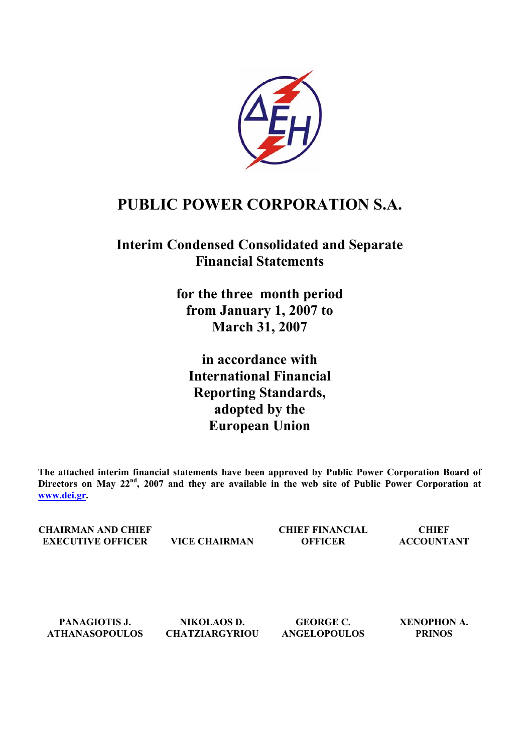

# **PUBLIC POWER CORPORATION S.A.**

# **Interim Condensed Consolidated and Separate Financial Statements**

**for the three month period from January 1, 2007 to March 31, 2007** 

**in accordance with International Financial Reporting Standards, adopted by the European Union** 

**The attached interim financial statements have been approved by Public Power Corporation Board of**  Directors on May 22<sup>nd</sup>, 2007 and they are available in the web site of Public Power Corporation at **[www.dei.gr](http://www.dei.gr/).** 

**CHAIRMAN AND CHIEF EXECUTIVE OFFICER VICE CHAIRMAN** 

**CHIEF FINANCIAL OFFICER** 

**CHIEF ACCOUNTANT** 

**PANAGIOTIS J. ATHANASOPOULOS** 

**NIKOLAOS D. CHATZIARGYRIOU** 

**GEORGE C. ANGELOPOULOS**  **XENOPHON Α. PRINOS**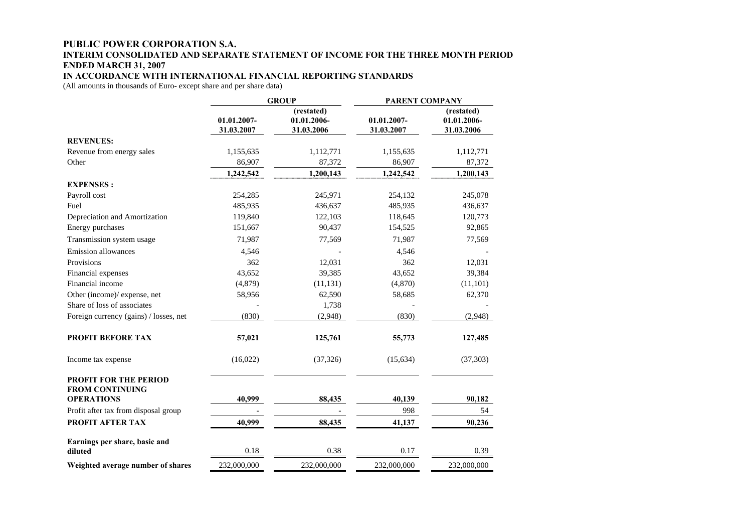## **PUBLIC POWER CORPORATION S.A. INTERIM CONSOLIDATED AND SEPARATE STATEMENT OF INCOME FOR THE THREE MONTH PERIOD ENDED MARCH 31, 2007**

**IN ACCORDANCE WITH INTERNATIONAL FINANCIAL REPORTING STANDARDS** 

(All amounts in thousands of Euro- except share and per share data)

|                                                                      | <b>GROUP</b>              |                                         | PARENT COMPANY            |                                         |  |
|----------------------------------------------------------------------|---------------------------|-----------------------------------------|---------------------------|-----------------------------------------|--|
|                                                                      | 01.01.2007-<br>31.03.2007 | (restated)<br>01.01.2006-<br>31.03.2006 | 01.01.2007-<br>31.03.2007 | (restated)<br>01.01.2006-<br>31.03.2006 |  |
| <b>REVENUES:</b>                                                     |                           |                                         |                           |                                         |  |
| Revenue from energy sales                                            | 1,155,635                 | 1,112,771                               | 1,155,635                 | 1,112,771                               |  |
| Other                                                                | 86,907                    | 87,372                                  | 86,907                    | 87,372                                  |  |
|                                                                      | 1,242,542                 | 1,200,143                               | 1,242,542                 | 1,200,143                               |  |
| <b>EXPENSES:</b>                                                     |                           |                                         |                           |                                         |  |
| Payroll cost                                                         | 254,285                   | 245,971                                 | 254,132                   | 245,078                                 |  |
| Fuel                                                                 | 485,935                   | 436,637                                 | 485,935                   | 436,637                                 |  |
| Depreciation and Amortization                                        | 119,840                   | 122,103                                 | 118,645                   | 120,773                                 |  |
| Energy purchases                                                     | 151,667                   | 90,437                                  | 154,525                   | 92,865                                  |  |
| Transmission system usage                                            | 71,987                    | 77,569                                  | 71,987                    | 77,569                                  |  |
| <b>Emission allowances</b>                                           | 4,546                     |                                         | 4,546                     |                                         |  |
| Provisions                                                           | 362                       | 12,031                                  | 362                       | 12,031                                  |  |
| Financial expenses                                                   | 43,652                    | 39,385                                  | 43,652                    | 39,384                                  |  |
| Financial income                                                     | (4, 879)                  | (11, 131)                               | (4,870)                   | (11, 101)                               |  |
| Other (income)/ expense, net                                         | 58,956                    | 62,590                                  | 58,685                    | 62,370                                  |  |
| Share of loss of associates                                          |                           | 1,738                                   |                           |                                         |  |
| Foreign currency (gains) / losses, net                               | (830)                     | (2,948)                                 | (830)                     | (2,948)                                 |  |
| PROFIT BEFORE TAX                                                    | 57,021                    | 125,761                                 | 55,773                    | 127,485                                 |  |
| Income tax expense                                                   | (16,022)                  | (37, 326)                               | (15, 634)                 | (37,303)                                |  |
| PROFIT FOR THE PERIOD<br><b>FROM CONTINUING</b><br><b>OPERATIONS</b> | 40,999                    | 88,435                                  | 40,139                    | 90,182                                  |  |
| Profit after tax from disposal group                                 |                           |                                         | 998                       | 54                                      |  |
| PROFIT AFTER TAX                                                     | 40,999                    | 88,435                                  | 41,137                    | 90,236                                  |  |
| Earnings per share, basic and<br>diluted                             | 0.18                      | 0.38                                    | 0.17                      | 0.39                                    |  |
|                                                                      |                           |                                         |                           |                                         |  |
| Weighted average number of shares                                    | 232,000,000               | 232,000,000                             | 232,000,000               | 232,000,000                             |  |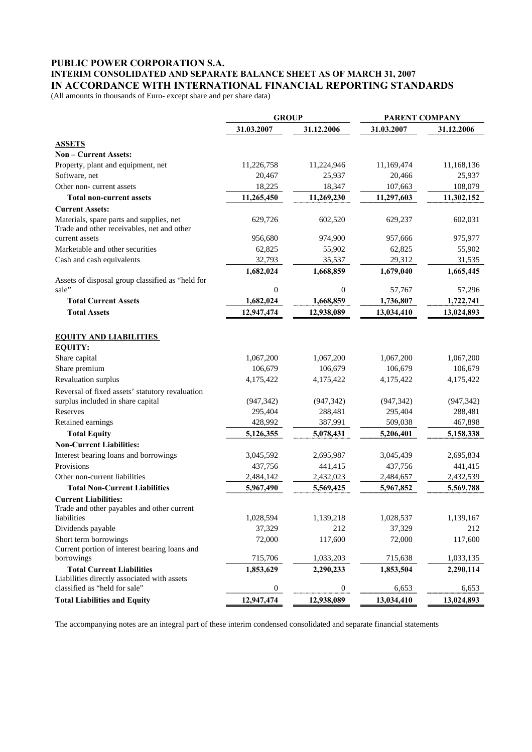## **PUBLIC POWER CORPORATION S.A.**

## **INTERIM CONSOLIDATED AND SEPARATE BALANCE SHEET AS OF MARCH 31, 2007 IN ACCORDANCE WITH INTERNATIONAL FINANCIAL REPORTING STANDARDS**

(All amounts in thousands of Euro- except share and per share data)

|                                                                                        | <b>GROUP</b>     |                  | PARENT COMPANY      |            |  |
|----------------------------------------------------------------------------------------|------------------|------------------|---------------------|------------|--|
|                                                                                        | 31.03.2007       | 31.12.2006       | 31.03.2007          | 31.12.2006 |  |
| <b>ASSETS</b>                                                                          |                  |                  |                     |            |  |
| Non - Current Assets:                                                                  |                  |                  |                     |            |  |
| Property, plant and equipment, net                                                     | 11,226,758       | 11,224,946       | 11,169,474          | 11,168,136 |  |
| Software, net                                                                          | 20,467           | 25,937           | 20,466              | 25,937     |  |
| Other non-current assets                                                               | 18,225           | 18,347           | 107,663             | 108,079    |  |
| <b>Total non-current assets</b>                                                        | 11,265,450       | 11,269,230       | 11,297,603          | 11,302,152 |  |
| <b>Current Assets:</b>                                                                 |                  |                  |                     |            |  |
| Materials, spare parts and supplies, net<br>Trade and other receivables, net and other | 629,726          | 602,520          | 629,237             | 602,031    |  |
| current assets                                                                         | 956,680          | 974,900          | 957,666             | 975,977    |  |
| Marketable and other securities                                                        | 62,825           | 55,902           | 62,825              | 55,902     |  |
| Cash and cash equivalents                                                              | 32,793           | 35,537           | 29,312              | 31,535     |  |
|                                                                                        | 1,682,024        | 1,668,859        | 1,679,040           | 1,665,445  |  |
| Assets of disposal group classified as "held for                                       |                  |                  |                     |            |  |
| sale"                                                                                  | $\mathbf{0}$     | $\overline{0}$   | 57,767              | 57,296     |  |
| <b>Total Current Assets</b>                                                            | 1,682,024        | 1,668,859        | 1,736,807           | 1,722,741  |  |
| <b>Total Assets</b>                                                                    | 12,947,474       | 12,938,089       | 13,034,410          | 13,024,893 |  |
|                                                                                        |                  |                  |                     |            |  |
| <b>EQUITY AND LIABILITIES</b>                                                          |                  |                  |                     |            |  |
| <b>EQUITY:</b>                                                                         |                  |                  |                     |            |  |
| Share capital                                                                          | 1,067,200        | 1,067,200        | 1,067,200           | 1,067,200  |  |
| Share premium                                                                          | 106,679          | 106,679          | 106,679             | 106,679    |  |
| Revaluation surplus                                                                    | 4,175,422        | 4,175,422        | 4,175,422           | 4,175,422  |  |
| Reversal of fixed assets' statutory revaluation                                        |                  |                  |                     |            |  |
| surplus included in share capital                                                      | (947, 342)       | (947, 342)       | (947, 342)          | (947, 342) |  |
| Reserves                                                                               | 295,404          | 288,481          | 295,404             | 288,481    |  |
| Retained earnings                                                                      | 428,992          | 387,991          | 509,038             | 467,898    |  |
| <b>Total Equity</b>                                                                    | 5,126,355        | 5,078,431        | 5,206,401           | 5,158,338  |  |
| <b>Non-Current Liabilities:</b>                                                        |                  |                  |                     |            |  |
| Interest bearing loans and borrowings                                                  | 3,045,592        | 2,695,987        | 3,045,439           | 2,695,834  |  |
| Provisions                                                                             | 437,756          | 441,415          | 437,756             | 441,415    |  |
| Other non-current liabilities                                                          | 2,484,142        | 2,432,023        | 2,484,657           | 2,432,539  |  |
| <b>Total Non-Current Liabilities</b>                                                   | 5,967,490        | 5,569,425        | 5,967,852           | 5,569,788  |  |
| <b>Current Liabilities:</b>                                                            |                  |                  |                     |            |  |
| Trade and other payables and other current<br>liabilities                              |                  |                  |                     |            |  |
|                                                                                        | 1,028,594        | 1,139,218        | 1,028,537<br>37,329 | 1,139,167  |  |
| Dividends payable                                                                      | 37,329           | 212              |                     | 212        |  |
| Short term borrowings<br>Current portion of interest bearing loans and                 | 72,000           | 117,600          | 72,000              | 117,600    |  |
| borrowings                                                                             | 715,706          | 1,033,203        | 715,638             | 1,033,135  |  |
| <b>Total Current Liabilities</b>                                                       | 1,853,629        | 2,290,233        | 1,853,504           | 2,290,114  |  |
| Liabilities directly associated with assets                                            |                  |                  |                     |            |  |
| classified as "held for sale"                                                          | $\boldsymbol{0}$ | $\boldsymbol{0}$ | 6,653               | 6,653      |  |
| <b>Total Liabilities and Equity</b>                                                    | 12,947,474       | 12,938,089       | 13,034,410          | 13,024,893 |  |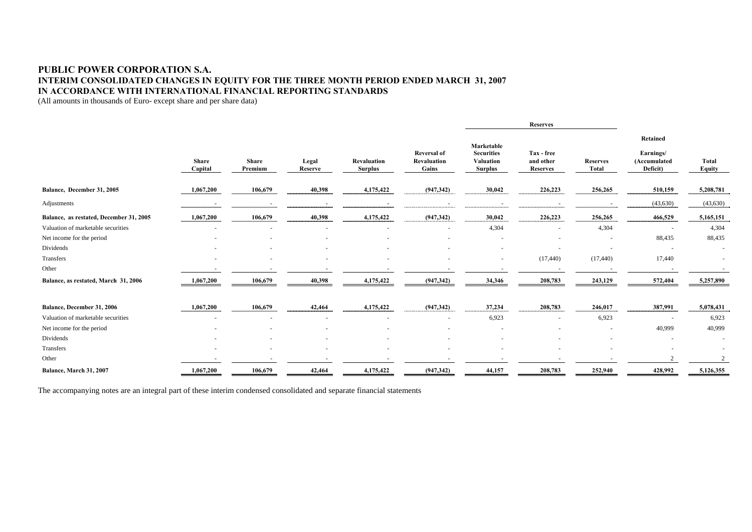## **PUBLIC POWER CORPORATION S.A. INTERIM CONSOLIDATED CHANGES IN EQUITY FOR THE THREE MONTH PERIOD ENDED MARCH 31, 2007 IN ACCORDANCE WITH INTERNATIONAL FINANCIAL REPORTING STANDARDS**  (All amounts in thousands of Euro- except share and per share data)

|                                         |                         |                         |                          |                                      |                                            | <b>Reserves</b>                                                       |                                            |                                 |                                                          |                        |
|-----------------------------------------|-------------------------|-------------------------|--------------------------|--------------------------------------|--------------------------------------------|-----------------------------------------------------------------------|--------------------------------------------|---------------------------------|----------------------------------------------------------|------------------------|
|                                         | <b>Share</b><br>Capital | <b>Share</b><br>Premium | Legal<br>Reserve         | <b>Revaluation</b><br><b>Surplus</b> | <b>Reversal of</b><br>Revaluation<br>Gains | Marketable<br><b>Securities</b><br><b>Valuation</b><br><b>Surplus</b> | Tax - free<br>and other<br><b>Reserves</b> | <b>Reserves</b><br><b>Total</b> | <b>Retained</b><br>Earnings/<br>(Accumulated<br>Deficit) | <b>Total</b><br>Equity |
| Balance, December 31, 2005              | 1,067,200               | 106,679                 | 40,398                   | 4,175,422                            | (947, 342)                                 | 30,042                                                                | 226,223                                    | 256,265                         | 510,159                                                  | 5,208,781              |
| Adjustments                             |                         |                         |                          |                                      | $\overline{\phantom{a}}$                   | $\sim$                                                                | $\overline{\phantom{a}}$                   |                                 | (43, 630)                                                | (43, 630)              |
| Balance, as restated, December 31, 2005 | 1,067,200               | 106,679                 | 40,398                   | 4,175,422                            | (947, 342)                                 | 30,042                                                                | 226,223                                    | 256,265                         | 466,529                                                  | 5,165,151              |
| Valuation of marketable securities      |                         |                         |                          |                                      | $\overline{\phantom{a}}$                   | 4,304                                                                 |                                            | 4,304                           |                                                          | 4,304                  |
| Net income for the period               |                         | ٠                       | $\overline{\phantom{a}}$ |                                      |                                            | ٠                                                                     |                                            | $\sim$                          | 88,435                                                   | 88,435                 |
| Dividends                               |                         |                         |                          |                                      |                                            |                                                                       |                                            |                                 |                                                          |                        |
| Transfers                               |                         |                         |                          |                                      |                                            |                                                                       | (17, 440)                                  | (17, 440)                       | 17,440                                                   |                        |
| Other                                   |                         |                         |                          |                                      |                                            |                                                                       |                                            |                                 |                                                          |                        |
| Balance, as restated, March 31, 2006    | 1,067,200               | 106,679                 | 40,398                   | 4,175,422                            | (947, 342)                                 | 34,346                                                                | 208,783                                    | 243,129                         | 572,404                                                  | 5,257,890              |
|                                         |                         |                         |                          |                                      |                                            |                                                                       |                                            |                                 |                                                          |                        |
| Balance, December 31, 2006              | 1,067,200               | 106,679                 | 42,464                   | 4,175,422                            | (947, 342)                                 | 37,234                                                                | 208,783                                    | 246,017                         | 387,991                                                  | 5,078,431              |
| Valuation of marketable securities      |                         |                         |                          |                                      | $\overline{\phantom{a}}$                   | 6,923                                                                 | $\overline{\phantom{a}}$                   | 6,923                           |                                                          | 6,923                  |
| Net income for the period               |                         |                         |                          |                                      |                                            |                                                                       |                                            |                                 | 40,999                                                   | 40,999                 |
| Dividends                               |                         |                         |                          |                                      |                                            |                                                                       |                                            |                                 |                                                          |                        |
| Transfers                               |                         |                         |                          |                                      |                                            |                                                                       |                                            |                                 |                                                          |                        |
| Other                                   |                         |                         |                          |                                      |                                            |                                                                       |                                            |                                 |                                                          |                        |
| Balance, March 31, 2007                 | 1,067,200               | 106,679                 | 42,464                   | 4,175,422                            | (947, 342)                                 | 44,157                                                                | 208,783                                    | 252,940                         | 428,992                                                  | 5,126,355              |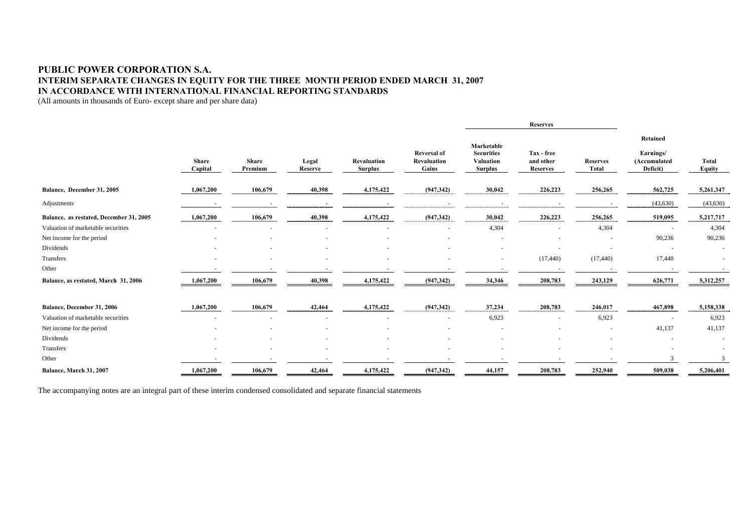## **PUBLIC POWER CORPORATION S.A. INTERIM SEPARATE CHANGES IN EQUITY FOR THE THREE MONTH PERIOD ENDED MARCH 31, 2007 IN ACCORDANCE WITH INTERNATIONAL FINANCIAL REPORTING STANDARDS**  (All amounts in thousands of Euro- except share and per share data)

|                                         |                         |                         |                          |                                      |                                            | <b>Reserves</b>                                                       |                                            |                                 |                                                          |                        |
|-----------------------------------------|-------------------------|-------------------------|--------------------------|--------------------------------------|--------------------------------------------|-----------------------------------------------------------------------|--------------------------------------------|---------------------------------|----------------------------------------------------------|------------------------|
|                                         | <b>Share</b><br>Capital | <b>Share</b><br>Premium | Legal<br>Reserve         | <b>Revaluation</b><br><b>Surplus</b> | <b>Reversal of</b><br>Revaluation<br>Gains | Marketable<br><b>Securities</b><br><b>Valuation</b><br><b>Surplus</b> | Tax - free<br>and other<br><b>Reserves</b> | <b>Reserves</b><br><b>Total</b> | <b>Retained</b><br>Earnings/<br>(Accumulated<br>Deficit) | <b>Total</b><br>Equity |
| Balance, December 31, 2005              | 1,067,200               | 106,679                 | 40,398                   | 4,175,422                            | (947, 342)                                 | 30,042                                                                | 226,223                                    | 256,265                         | 562,725                                                  | 5,261,347              |
| Adjustments                             |                         |                         |                          |                                      | $\overline{\phantom{a}}$                   | $\sim$                                                                | $\overline{\phantom{a}}$                   |                                 | (43, 630)                                                | (43, 630)              |
| Balance, as restated, December 31, 2005 | 1,067,200               | 106,679                 | 40,398                   | 4,175,422                            | (947, 342)                                 | 30,042                                                                | 226,223                                    | 256,265                         | 519,095                                                  | 5,217,717              |
| Valuation of marketable securities      |                         |                         |                          |                                      | $\overline{\phantom{a}}$                   | 4,304                                                                 |                                            | 4,304                           |                                                          | 4,304                  |
| Net income for the period               |                         | ٠                       | $\overline{\phantom{a}}$ |                                      |                                            | $\overline{\phantom{a}}$                                              |                                            | $\sim$                          | 90,236                                                   | 90,236                 |
| Dividends                               |                         |                         |                          |                                      |                                            |                                                                       |                                            |                                 |                                                          |                        |
| Transfers                               |                         |                         |                          |                                      |                                            |                                                                       | (17, 440)                                  | (17, 440)                       | 17,440                                                   |                        |
| Other                                   |                         |                         |                          |                                      |                                            |                                                                       |                                            |                                 |                                                          |                        |
| Balance, as restated, March 31, 2006    | 1,067,200               | 106,679                 | 40,398                   | 4,175,422                            | (947, 342)                                 | 34,346                                                                | 208,783                                    | 243,129                         | 626,771                                                  | 5,312,257              |
|                                         |                         |                         |                          |                                      |                                            |                                                                       |                                            |                                 |                                                          |                        |
| Balance, December 31, 2006              | 1,067,200               | 106,679                 | 42,464                   | 4,175,422                            | (947, 342)                                 | 37,234                                                                | 208,783                                    | 246,017                         | 467,898                                                  | 5,158,338              |
| Valuation of marketable securities      |                         |                         |                          |                                      | $\overline{\phantom{a}}$                   | 6,923                                                                 | $\overline{\phantom{a}}$                   | 6,923                           | $\sim$                                                   | 6,923                  |
| Net income for the period               |                         |                         |                          |                                      |                                            |                                                                       |                                            |                                 | 41,137                                                   | 41,137                 |
| Dividends                               |                         |                         |                          |                                      |                                            |                                                                       |                                            |                                 |                                                          |                        |
| Transfers                               |                         |                         |                          |                                      |                                            |                                                                       |                                            |                                 |                                                          |                        |
| Other                                   |                         |                         |                          |                                      |                                            |                                                                       |                                            |                                 |                                                          |                        |
| Balance, March 31, 2007                 | 1,067,200               | 106,679                 | 42,464                   | 4,175,422                            | (947, 342)                                 | 44,157                                                                | 208,783                                    | 252,940                         | 509,038                                                  | 5,206,401              |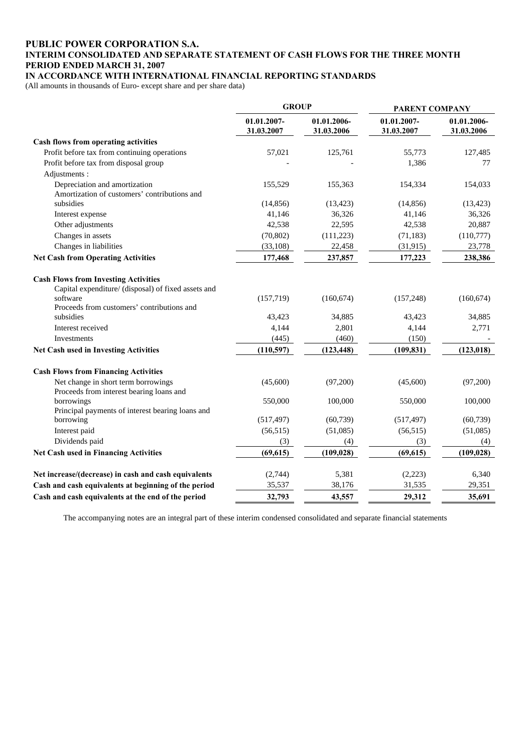#### **PUBLIC POWER CORPORATION S.A. INTERIM CONSOLIDATED AND SEPARATE STATEMENT OF CASH FLOWS FOR THE THREE MONTH PERIOD ENDED MARCH 31, 2007 IN ACCORDANCE WITH INTERNATIONAL FINANCIAL REPORTING STANDARDS**

(All amounts in thousands of Euro- except share and per share data)

|                                                                                                    | <b>GROUP</b>              |                           | PARENT COMPANY            |                           |  |
|----------------------------------------------------------------------------------------------------|---------------------------|---------------------------|---------------------------|---------------------------|--|
|                                                                                                    | 01.01.2007-<br>31.03.2007 | 01.01.2006-<br>31.03.2006 | 01.01.2007-<br>31.03.2007 | 01.01.2006-<br>31.03.2006 |  |
| Cash flows from operating activities                                                               |                           |                           |                           |                           |  |
| Profit before tax from continuing operations                                                       | 57,021                    | 125,761                   | 55,773                    | 127,485                   |  |
| Profit before tax from disposal group                                                              |                           |                           | 1,386                     | 77                        |  |
| Adjustments :                                                                                      |                           |                           |                           |                           |  |
| Depreciation and amortization<br>Amortization of customers' contributions and                      | 155,529                   | 155,363                   | 154,334                   | 154,033                   |  |
| subsidies                                                                                          | (14, 856)                 | (13, 423)                 | (14, 856)                 | (13, 423)                 |  |
| Interest expense                                                                                   | 41,146                    | 36,326                    | 41,146                    | 36,326                    |  |
| Other adjustments                                                                                  | 42,538                    | 22,595                    | 42,538                    | 20,887                    |  |
| Changes in assets                                                                                  | (70, 802)                 | (111, 223)                | (71, 183)                 | (110,777)                 |  |
| Changes in liabilities                                                                             | (33,108)                  | 22,458                    | (31, 915)                 | 23,778                    |  |
| <b>Net Cash from Operating Activities</b>                                                          | 177,468                   | 237,857                   | 177,223                   | 238,386                   |  |
| <b>Cash Flows from Investing Activities</b><br>Capital expenditure/ (disposal) of fixed assets and |                           |                           |                           |                           |  |
| software                                                                                           | (157, 719)                | (160, 674)                | (157, 248)                | (160, 674)                |  |
| Proceeds from customers' contributions and<br>subsidies                                            | 43,423                    | 34,885                    | 43,423                    | 34,885                    |  |
| Interest received                                                                                  | 4,144                     | 2,801                     | 4,144                     | 2,771                     |  |
| Investments                                                                                        | (445)                     | (460)                     | (150)                     |                           |  |
| Net Cash used in Investing Activities                                                              | (110, 597)                | (123, 448)                | (109, 831)                | (123, 018)                |  |
| <b>Cash Flows from Financing Activities</b>                                                        |                           |                           |                           |                           |  |
| Net change in short term borrowings<br>Proceeds from interest bearing loans and                    | (45,600)                  | (97,200)                  | (45,600)                  | (97,200)                  |  |
| borrowings<br>Principal payments of interest bearing loans and                                     | 550,000                   | 100,000                   | 550,000                   | 100,000                   |  |
| borrowing                                                                                          | (517, 497)                | (60, 739)                 | (517, 497)                | (60, 739)                 |  |
| Interest paid                                                                                      | (56, 515)                 | (51,085)                  | (56, 515)                 | (51,085)                  |  |
| Dividends paid                                                                                     | (3)                       | (4)                       | (3)                       | (4)                       |  |
| <b>Net Cash used in Financing Activities</b>                                                       | (69, 615)                 | (109, 028)                | (69, 615)                 | (109, 028)                |  |
| Net increase/(decrease) in cash and cash equivalents                                               | (2,744)                   | 5,381                     | (2,223)                   | 6,340                     |  |
| Cash and cash equivalents at beginning of the period                                               | 35,537                    | 38,176                    | 31,535                    | 29,351                    |  |
| Cash and cash equivalents at the end of the period                                                 | 32,793                    | 43,557                    | 29,312                    | 35,691                    |  |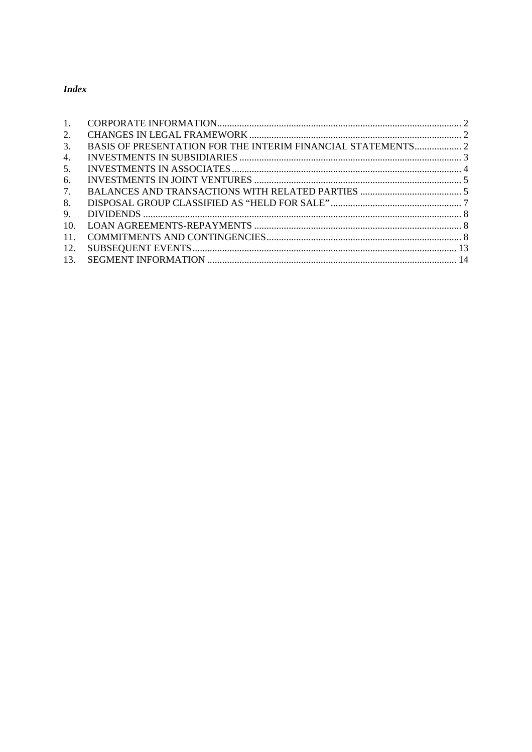## **Index**

| $\mathbf{1}$ . |                                                              |  |
|----------------|--------------------------------------------------------------|--|
| 2.             |                                                              |  |
| 3.             | BASIS OF PRESENTATION FOR THE INTERIM FINANCIAL STATEMENTS 2 |  |
| 4.             |                                                              |  |
| 5.             |                                                              |  |
| 6.             |                                                              |  |
| 7.             |                                                              |  |
| 8.             |                                                              |  |
| 9.             |                                                              |  |
| 10.            |                                                              |  |
| 11.            |                                                              |  |
| 12.            |                                                              |  |
| 13.            |                                                              |  |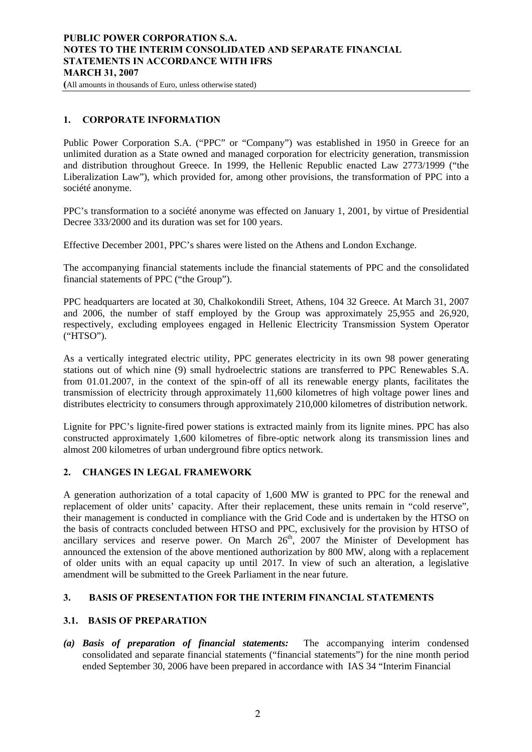<span id="page-8-0"></span>**(**All amounts in thousands of Euro, unless otherwise stated)

## **1. CORPORATE INFORMATION**

Public Power Corporation S.A. ("PPC" or "Company") was established in 1950 in Greece for an unlimited duration as a State owned and managed corporation for electricity generation, transmission and distribution throughout Greece. In 1999, the Hellenic Republic enacted Law 2773/1999 ("the Liberalization Law"), which provided for, among other provisions, the transformation of PPC into a société anonyme.

PPC's transformation to a société anonyme was effected on January 1, 2001, by virtue of Presidential Decree 333/2000 and its duration was set for 100 years.

Effective December 2001, PPC's shares were listed on the Athens and London Exchange.

The accompanying financial statements include the financial statements of PPC and the consolidated financial statements of PPC ("the Group").

PPC headquarters are located at 30, Chalkokondili Street, Athens, 104 32 Greece. At March 31, 2007 and 2006, the number of staff employed by the Group was approximately 25,955 and 26,920, respectively, excluding employees engaged in Hellenic Electricity Transmission System Operator ("HTSO").

As a vertically integrated electric utility, PPC generates electricity in its own 98 power generating stations out of which nine (9) small hydroelectric stations are transferred to PPC Renewables S.A. from 01.01.2007, in the context of the spin-off of all its renewable energy plants, facilitates the transmission of electricity through approximately 11,600 kilometres of high voltage power lines and distributes electricity to consumers through approximately 210,000 kilometres of distribution network.

Lignite for PPC's lignite-fired power stations is extracted mainly from its lignite mines. PPC has also constructed approximately 1,600 kilometres of fibre-optic network along its transmission lines and almost 200 kilometres of urban underground fibre optics network.

## **2. CHANGES IN LEGAL FRAMEWORK**

A generation authorization of a total capacity of 1,600 MW is granted to PPC for the renewal and replacement of older units' capacity. After their replacement, these units remain in "cold reserve", their management is conducted in compliance with the Grid Code and is undertaken by the HTSO on the basis of contracts concluded between HTSO and PPC, exclusively for the provision by HTSO of ancillary services and reserve power. On March  $26<sup>th</sup>$ ,  $2007$  the Minister of Development has announced the extension of the above mentioned authorization by 800 MW, along with a replacement of older units with an equal capacity up until 2017. In view of such an alteration, a legislative amendment will be submitted to the Greek Parliament in the near future.

#### **3. BASIS OF PRESENTATION FOR THE INTERIM FINANCIAL STATEMENTS**

#### **3.1. BASIS OF PREPARATION**

*(a) Basis of preparation of financial statements:* The accompanying interim condensed consolidated and separate financial statements ("financial statements") for the nine month period ended September 30, 2006 have been prepared in accordance with IAS 34 "Interim Financial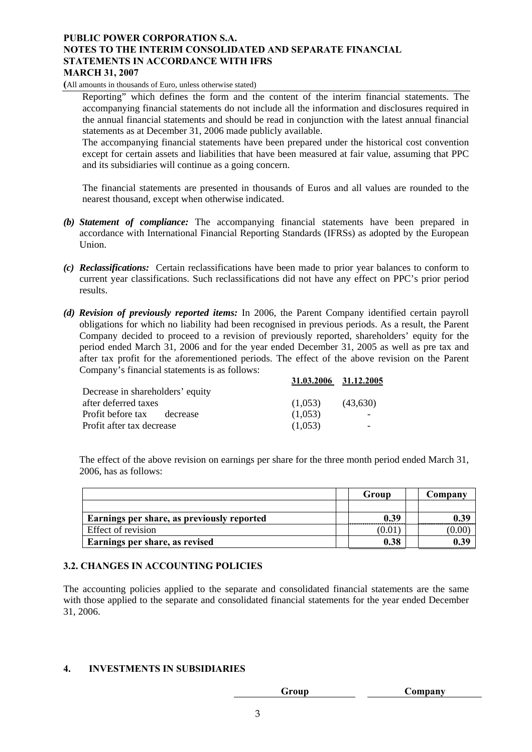<span id="page-9-0"></span>**(**All amounts in thousands of Euro, unless otherwise stated)

Reporting" which defines the form and the content of the interim financial statements. The accompanying financial statements do not include all the information and disclosures required in the annual financial statements and should be read in conjunction with the latest annual financial statements as at December 31, 2006 made publicly available.

The accompanying financial statements have been prepared under the historical cost convention except for certain assets and liabilities that have been measured at fair value, assuming that PPC and its subsidiaries will continue as a going concern.

The financial statements are presented in thousands of Euros and all values are rounded to the nearest thousand, except when otherwise indicated.

- *(b) Statement of compliance:* The accompanying financial statements have been prepared in accordance with International Financial Reporting Standards (IFRSs) as adopted by the European Union.
- *(c) Reclassifications:* Certain reclassifications have been made to prior year balances to conform to current year classifications. Such reclassifications did not have any effect on PPC's prior period results.
- *(d) Revision of previously reported items:* In 2006, the Parent Company identified certain payroll obligations for which no liability had been recognised in previous periods. As a result, the Parent Company decided to proceed to a revision of previously reported, shareholders' equity for the period ended March 31, 2006 and for the year ended December 31, 2005 as well as pre tax and after tax profit for the aforementioned periods. The effect of the above revision on the Parent Company's financial statements is as follows:

|                                  | 31.03.2006 31.12.2005 |                          |
|----------------------------------|-----------------------|--------------------------|
| Decrease in shareholders' equity |                       |                          |
| after deferred taxes             | (1,053)               | (43,630)                 |
| Profit before tax decrease       | (1,053)               | $\overline{\phantom{0}}$ |
| Profit after tax decrease        | (1.053)               | $\overline{\phantom{0}}$ |

The effect of the above revision on earnings per share for the three month period ended March 31, 2006, has as follows:

|                                            | Group  | Company |
|--------------------------------------------|--------|---------|
|                                            |        |         |
| Earnings per share, as previously reported | 0.39   |         |
| Effect of revision                         | (0.01) |         |
| Earnings per share, as revised             | 0.38   |         |

## **3.2. CHANGES IN ACCOUNTING POLICIES**

The accounting policies applied to the separate and consolidated financial statements are the same with those applied to the separate and consolidated financial statements for the year ended December 31, 2006.

## **4. INVESTMENTS IN SUBSIDIARIES**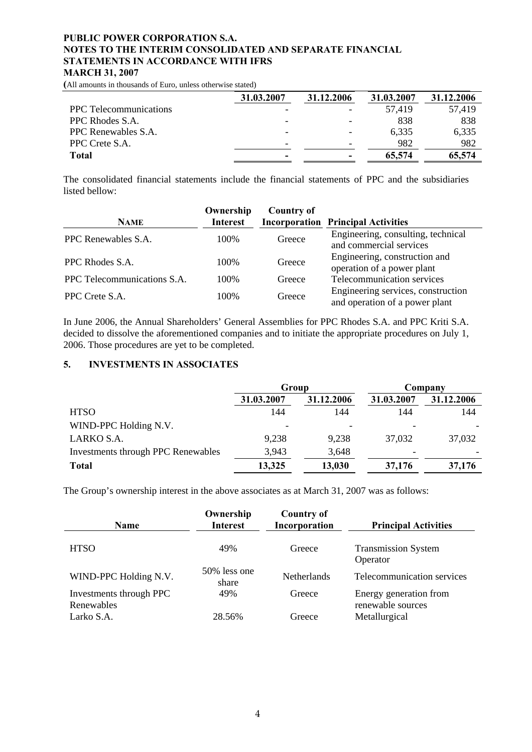<span id="page-10-0"></span>**(**All amounts in thousands of Euro, unless otherwise stated)

|                               | 31.03.2007               | 31.12.2006 | 31.03.2007 | 31.12.2006 |
|-------------------------------|--------------------------|------------|------------|------------|
| <b>PPC</b> Telecommunications |                          |            | 57,419     | 57,419     |
| PPC Rhodes S.A.               | $\overline{\phantom{0}}$ |            | 838        | 838        |
| PPC Renewables S.A.           | $\overline{\phantom{0}}$ |            | 6,335      | 6,335      |
| PPC Crete S.A.                | -                        |            | 982        | 982        |
| <b>Total</b>                  | ۰                        |            | 65,574     | 65,574     |

The consolidated financial statements include the financial statements of PPC and the subsidiaries listed bellow:

| <b>NAME</b>                 | Ownership<br><b>Interest</b> | <b>Country of</b> | <b>Incorporation Principal Activities</b>                            |
|-----------------------------|------------------------------|-------------------|----------------------------------------------------------------------|
| PPC Renewables S.A.         | 100\%                        | Greece            | Engineering, consulting, technical<br>and commercial services        |
| PPC Rhodes S.A.             | 100\%                        | Greece            | Engineering, construction and<br>operation of a power plant          |
| PPC Telecommunications S.A. | 100\%                        | Greece            | Telecommunication services                                           |
| PPC Crete S.A.              | 100\%                        | Greece            | Engineering services, construction<br>and operation of a power plant |

In June 2006, the Annual Shareholders' General Assemblies for PPC Rhodes S.A. and PPC Kriti S.A. decided to dissolve the aforementioned companies and to initiate the appropriate procedures on July 1, 2006. Those procedures are yet to be completed.

#### **5. INVESTMENTS IN ASSOCIATES**

|                                           | Group      |            | Company                  |            |  |
|-------------------------------------------|------------|------------|--------------------------|------------|--|
|                                           | 31.03.2007 | 31.12.2006 | 31.03.2007               | 31.12.2006 |  |
| <b>HTSO</b>                               | 144        | 144        | 144                      | 144        |  |
| WIND-PPC Holding N.V.                     |            |            |                          |            |  |
| LARKO S.A.                                | 9,238      | 9,238      | 37,032                   | 37,032     |  |
| <b>Investments through PPC Renewables</b> | 3,943      | 3,648      | $\overline{\phantom{0}}$ |            |  |
| <b>Total</b>                              | 13,325     | 13,030     | 37,176                   | 37,176     |  |

The Group's ownership interest in the above associates as at March 31, 2007 was as follows:

| <b>Name</b>                           | Ownership<br><b>Interest</b> | <b>Country of</b><br>Incorporation | <b>Principal Activities</b>                 |
|---------------------------------------|------------------------------|------------------------------------|---------------------------------------------|
| <b>HTSO</b>                           | 49%                          | Greece                             | <b>Transmission System</b><br>Operator      |
| WIND-PPC Holding N.V.                 | 50% less one<br>share        | <b>Netherlands</b>                 | Telecommunication services                  |
| Investments through PPC<br>Renewables | 49%                          | Greece                             | Energy generation from<br>renewable sources |
| Larko S.A.                            | 28.56%                       | Greece                             | Metallurgical                               |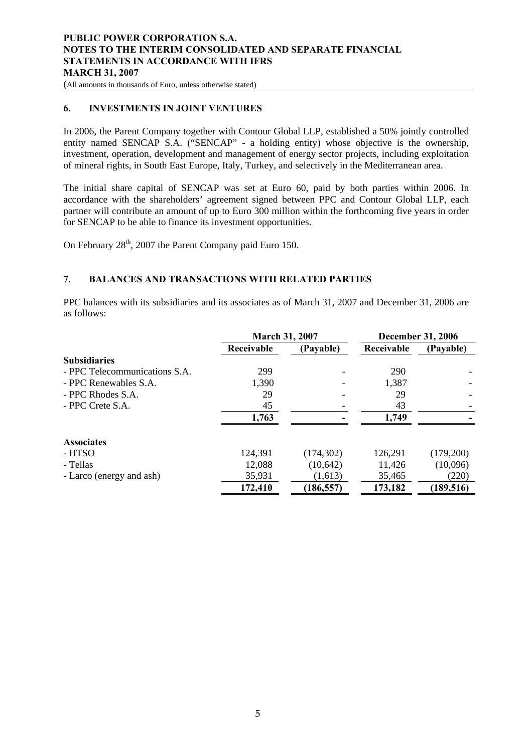<span id="page-11-0"></span>**(**All amounts in thousands of Euro, unless otherwise stated)

#### **6. INVESTMENTS IN JOINT VENTURES**

In 2006, the Parent Company together with Contour Global LLP, established a 50% jointly controlled entity named SENCAP S.A. ("SENCAP" - a holding entity) whose objective is the ownership, investment, operation, development and management of energy sector projects, including exploitation of mineral rights, in South East Europe, Italy, Turkey, and selectively in the Mediterranean area.

The initial share capital of SENCAP was set at Euro 60, paid by both parties within 2006. In accordance with the shareholders' agreement signed between PPC and Contour Global LLP, each partner will contribute an amount of up to Euro 300 million within the forthcoming five years in order for SENCAP to be able to finance its investment opportunities.

On February 28<sup>th</sup>, 2007 the Parent Company paid Euro 150.

## **7. BALANCES AND TRANSACTIONS WITH RELATED PARTIES**

PPC balances with its subsidiaries and its associates as of March 31, 2007 and December 31, 2006 are as follows:

|                               | <b>March 31, 2007</b> | <b>December 31, 2006</b> |            |            |  |
|-------------------------------|-----------------------|--------------------------|------------|------------|--|
|                               | Receivable            | (Payable)                | Receivable | (Payable)  |  |
| <b>Subsidiaries</b>           |                       |                          |            |            |  |
| - PPC Telecommunications S.A. | 299                   |                          | 290        |            |  |
| - PPC Renewables S.A.         | 1,390                 |                          | 1,387      |            |  |
| - PPC Rhodes S.A.             | 29                    |                          | 29         |            |  |
| - PPC Crete S.A.              | 45                    |                          | 43         |            |  |
|                               | 1,763                 |                          | 1,749      |            |  |
| <b>Associates</b>             |                       |                          |            |            |  |
| - HTSO                        | 124,391               | (174, 302)               | 126,291    | (179,200)  |  |
| - Tellas                      | 12,088                | (10,642)                 | 11,426     | (10,096)   |  |
| - Larco (energy and ash)      | 35,931                | (1,613)                  | 35,465     | (220)      |  |
|                               | 172,410               | (186, 557)               | 173,182    | (189, 516) |  |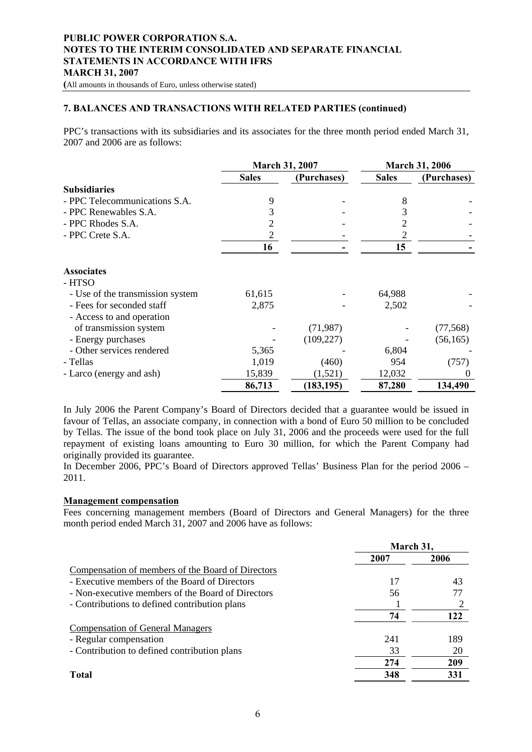**(**All amounts in thousands of Euro, unless otherwise stated)

#### **7. BALANCES AND TRANSACTIONS WITH RELATED PARTIES (continued)**

PPC's transactions with its subsidiaries and its associates for the three month period ended March 31, 2007 and 2006 are as follows:

|                                  |              | <b>March 31, 2007</b> | <b>March 31, 2006</b> |             |  |
|----------------------------------|--------------|-----------------------|-----------------------|-------------|--|
|                                  | <b>Sales</b> | (Purchases)           | <b>Sales</b>          | (Purchases) |  |
| <b>Subsidiaries</b>              |              |                       |                       |             |  |
| - PPC Telecommunications S.A.    | 9            |                       | 8                     |             |  |
| - PPC Renewables S.A.            | 3            |                       | 3                     |             |  |
| - PPC Rhodes S.A.                |              |                       |                       |             |  |
| - PPC Crete S.A.                 | 2            |                       | 2                     |             |  |
|                                  | 16           |                       | 15                    |             |  |
| <b>Associates</b>                |              |                       |                       |             |  |
| - HTSO                           |              |                       |                       |             |  |
| - Use of the transmission system | 61,615       |                       | 64,988                |             |  |
| - Fees for seconded staff        | 2,875        |                       | 2,502                 |             |  |
| - Access to and operation        |              |                       |                       |             |  |
| of transmission system           |              | (71, 987)             |                       | (77, 568)   |  |
| - Energy purchases               |              | (109, 227)            |                       | (56, 165)   |  |
| - Other services rendered        | 5,365        |                       | 6,804                 |             |  |
| - Tellas                         | 1,019        | (460)                 | 954                   | (757)       |  |
| - Larco (energy and ash)         | 15,839       | (1,521)               | 12,032                | $\theta$    |  |
|                                  | 86,713       | (183, 195)            | 87,280                | 134,490     |  |

In July 2006 the Parent Company's Board of Directors decided that a guarantee would be issued in favour of Tellas, an associate company, in connection with a bond of Euro 50 million to be concluded by Tellas. The issue of the bond took place on July 31, 2006 and the proceeds were used for the full repayment of existing loans amounting to Euro 30 million, for which the Parent Company had originally provided its guarantee.

In December 2006, PPC's Board of Directors approved Tellas' Business Plan for the period 2006 – 2011.

#### **Management compensation**

Fees concerning management members (Board of Directors and General Managers) for the three month period ended March 31, 2007 and 2006 have as follows:

| March 31. |      |
|-----------|------|
| 2007      | 2006 |
|           |      |
| 17        | 43   |
| 56        |      |
|           |      |
| 74        | 122. |
|           |      |
| 241       | 189  |
| 33        | 20   |
| 274       | 209  |
| 348       | 331  |
|           |      |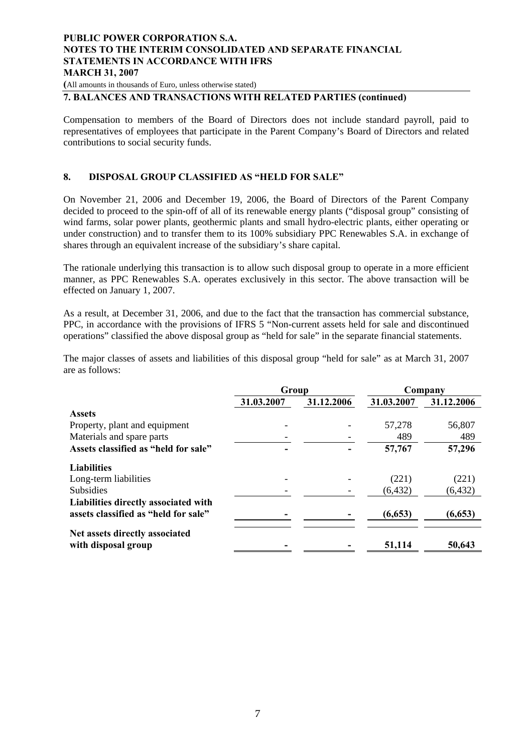<span id="page-13-0"></span>**(**All amounts in thousands of Euro, unless otherwise stated)

## **7. BALANCES AND TRANSACTIONS WITH RELATED PARTIES (continued)**

Compensation to members of the Board of Directors does not include standard payroll, paid to representatives of employees that participate in the Parent Company's Board of Directors and related contributions to social security funds.

## **8. DISPOSAL GROUP CLASSIFIED AS "HELD FOR SALE"**

On November 21, 2006 and December 19, 2006, the Board of Directors of the Parent Company decided to proceed to the spin-off of all of its renewable energy plants ("disposal group" consisting of wind farms, solar power plants, geothermic plants and small hydro-electric plants, either operating or under construction) and to transfer them to its 100% subsidiary PPC Renewables S.A. in exchange of shares through an equivalent increase of the subsidiary's share capital.

The rationale underlying this transaction is to allow such disposal group to operate in a more efficient manner, as PPC Renewables S.A. operates exclusively in this sector. The above transaction will be effected on January 1, 2007.

As a result, at December 31, 2006, and due to the fact that the transaction has commercial substance, PPC, in accordance with the provisions of IFRS 5 "Non-current assets held for sale and discontinued operations" classified the above disposal group as "held for sale" in the separate financial statements.

The major classes of assets and liabilities of this disposal group "held for sale" as at March 31, 2007 are as follows:

|                                      | Group      |            | Company    |            |  |
|--------------------------------------|------------|------------|------------|------------|--|
|                                      | 31.03.2007 | 31.12.2006 | 31.03.2007 | 31.12.2006 |  |
| <b>Assets</b>                        |            |            |            |            |  |
| Property, plant and equipment        |            |            | 57,278     | 56,807     |  |
| Materials and spare parts            |            |            | 489        | 489        |  |
| Assets classified as "held for sale" |            |            | 57,767     | 57,296     |  |
| <b>Liabilities</b>                   |            |            |            |            |  |
| Long-term liabilities                |            |            | (221)      | (221)      |  |
| <b>Subsidies</b>                     |            |            | (6, 432)   | (6, 432)   |  |
| Liabilities directly associated with |            |            |            |            |  |
| assets classified as "held for sale" |            |            | (6, 653)   | (6, 653)   |  |
| Net assets directly associated       |            |            |            |            |  |
| with disposal group                  |            |            | 51,114     | 50,643     |  |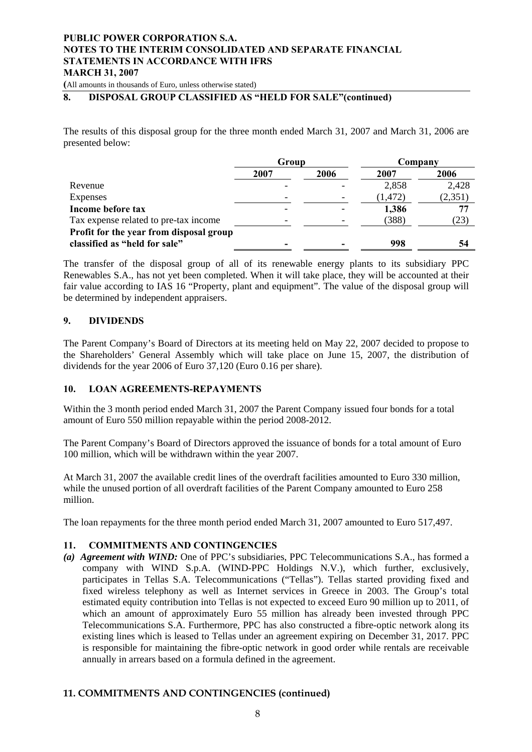<span id="page-14-0"></span>**(**All amounts in thousands of Euro, unless otherwise stated)

#### **8. DISPOSAL GROUP CLASSIFIED AS "HELD FOR SALE"(continued)**

The results of this disposal group for the three month ended March 31, 2007 and March 31, 2006 are presented below:

|                                         | Group |      | Company  |         |  |
|-----------------------------------------|-------|------|----------|---------|--|
|                                         | 2007  | 2006 | 2007     | 2006    |  |
| Revenue                                 |       |      | 2,858    | 2,428   |  |
| Expenses                                |       |      | (1, 472) | (2,351) |  |
| Income before tax                       |       |      | 1,386    |         |  |
| Tax expense related to pre-tax income   |       |      | (388)    | (23)    |  |
| Profit for the year from disposal group |       |      |          |         |  |
| classified as "held for sale"           |       |      | 998      | 54      |  |

The transfer of the disposal group of all of its renewable energy plants to its subsidiary PPC Renewables S.A., has not yet been completed. When it will take place, they will be accounted at their fair value according to IAS 16 "Property, plant and equipment". The value of the disposal group will be determined by independent appraisers.

## **9. DIVIDENDS**

The Parent Company's Board of Directors at its meeting held on May 22, 2007 decided to propose to the Shareholders' General Assembly which will take place on June 15, 2007, the distribution of dividends for the year 2006 of Euro 37,120 (Euro 0.16 per share).

## **10. LOAN AGREEMENTS-REPAYMENTS**

Within the 3 month period ended March 31, 2007 the Parent Company issued four bonds for a total amount of Euro 550 million repayable within the period 2008-2012.

The Parent Company's Board of Directors approved the issuance of bonds for a total amount of Euro 100 million, which will be withdrawn within the year 2007.

At March 31, 2007 the available credit lines of the overdraft facilities amounted to Euro 330 million, while the unused portion of all overdraft facilities of the Parent Company amounted to Euro 258 million.

The loan repayments for the three month period ended March 31, 2007 amounted to Euro 517,497.

## **11. COMMITMENTS AND CONTINGENCIES**

*(a) Agreement with WIND:* One of PPC's subsidiaries, PPC Telecommunications S.A., has formed a company with WIND S.p.A. (WIND-PPC Holdings N.V.), which further, exclusively, participates in Tellas S.A. Telecommunications ("Tellas"). Tellas started providing fixed and fixed wireless telephony as well as Internet services in Greece in 2003. The Group's total estimated equity contribution into Tellas is not expected to exceed Euro 90 million up to 2011, of which an amount of approximately Euro 55 million has already been invested through PPC Telecommunications S.A. Furthermore, PPC has also constructed a fibre-optic network along its existing lines which is leased to Tellas under an agreement expiring on December 31, 2017. PPC is responsible for maintaining the fibre-optic network in good order while rentals are receivable annually in arrears based on a formula defined in the agreement.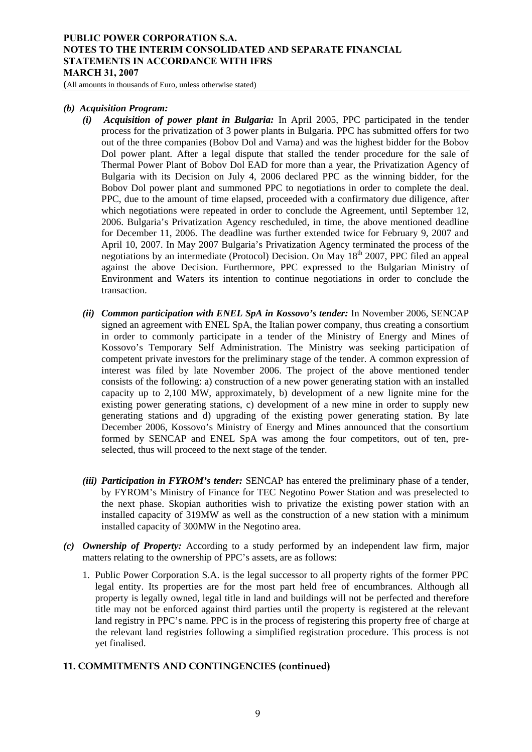**(**All amounts in thousands of Euro, unless otherwise stated)

## *(b) Acquisition Program:*

- *(i) Acquisition of power plant in Bulgaria:* In April 2005, PPC participated in the tender process for the privatization of 3 power plants in Bulgaria. PPC has submitted offers for two out of the three companies (Bobov Dol and Varna) and was the highest bidder for the Bobov Dol power plant. After a legal dispute that stalled the tender procedure for the sale of Thermal Power Plant of Bobov Dol EAD for more than a year, the Privatization Agency of Bulgaria with its Decision on July 4, 2006 declared PPC as the winning bidder, for the Bobov Dol power plant and summoned PPC to negotiations in order to complete the deal. PPC, due to the amount of time elapsed, proceeded with a confirmatory due diligence, after which negotiations were repeated in order to conclude the Agreement, until September 12. 2006. Bulgaria's Privatization Agency rescheduled, in time, the above mentioned deadline for December 11, 2006. The deadline was further extended twice for February 9, 2007 and April 10, 2007. In May 2007 Bulgaria's Privatization Agency terminated the process of the negotiations by an intermediate (Protocol) Decision. On May  $18<sup>th</sup>$  2007, PPC filed an appeal against the above Decision. Furthermore, PPC expressed to the Bulgarian Ministry of Environment and Waters its intention to continue negotiations in order to conclude the transaction.
- *(ii) Common participation with ENEL SpA in Kossovo's tender:* In November 2006, SENCAP signed an agreement with ENEL SpA, the Italian power company, thus creating a consortium in order to commonly participate in a tender of the Ministry of Energy and Mines of Kossovo's Temporary Self Administration. The Ministry was seeking participation of competent private investors for the preliminary stage of the tender. A common expression of interest was filed by late November 2006. The project of the above mentioned tender consists of the following: a) construction of a new power generating station with an installed capacity up to 2,100 MW, approximately, b) development of a new lignite mine for the existing power generating stations, c) development of a new mine in order to supply new generating stations and d) upgrading of the existing power generating station. By late December 2006, Kossovo's Ministry of Energy and Mines announced that the consortium formed by SENCAP and ENEL SpA was among the four competitors, out of ten, preselected, thus will proceed to the next stage of the tender.
- *(iii) Participation in FYROM's tender:* SENCAP has entered the preliminary phase of a tender, by FYROM's Ministry of Finance for TEC Negotino Power Station and was preselected to the next phase. Skopian authorities wish to privatize the existing power station with an installed capacity of 319MW as well as the construction of a new station with a minimum installed capacity of 300MW in the Negotino area.
- *(c) Ownership of Property:* According to a study performed by an independent law firm, major matters relating to the ownership of PPC's assets, are as follows:
	- 1. Public Power Corporation S.A. is the legal successor to all property rights of the former PPC legal entity. Its properties are for the most part held free of encumbrances. Although all property is legally owned, legal title in land and buildings will not be perfected and therefore title may not be enforced against third parties until the property is registered at the relevant land registry in PPC's name. PPC is in the process of registering this property free of charge at the relevant land registries following a simplified registration procedure. This process is not yet finalised.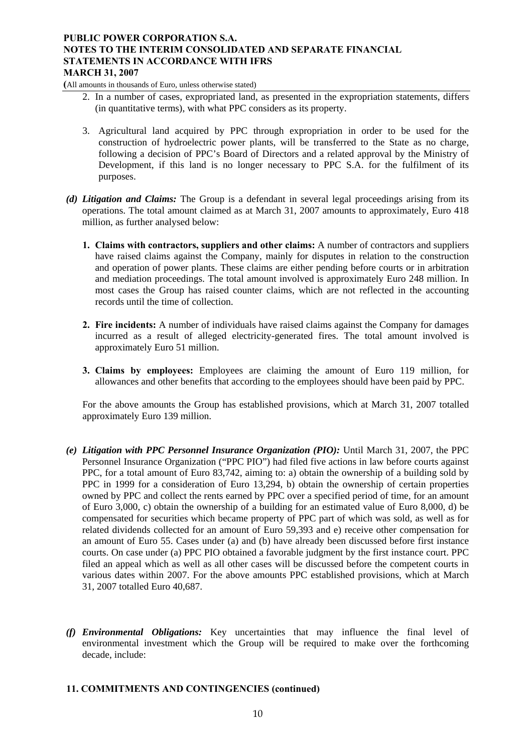**(**All amounts in thousands of Euro, unless otherwise stated)

- 2. In a number of cases, expropriated land, as presented in the expropriation statements, differs (in quantitative terms), with what PPC considers as its property.
- 3. Agricultural land acquired by PPC through expropriation in order to be used for the construction of hydroelectric power plants, will be transferred to the State as no charge, following a decision of PPC's Board of Directors and a related approval by the Ministry of Development, if this land is no longer necessary to PPC S.A. for the fulfilment of its purposes.
- *(d) Litigation and Claims:* The Group is a defendant in several legal proceedings arising from its operations. The total amount claimed as at March 31, 2007 amounts to approximately, Euro 418 million, as further analysed below:
	- **1. Claims with contractors, suppliers and other claims:** A number of contractors and suppliers have raised claims against the Company, mainly for disputes in relation to the construction and operation of power plants. These claims are either pending before courts or in arbitration and mediation proceedings. The total amount involved is approximately Euro 248 million. In most cases the Group has raised counter claims, which are not reflected in the accounting records until the time of collection.
	- **2. Fire incidents:** A number of individuals have raised claims against the Company for damages incurred as a result of alleged electricity-generated fires. The total amount involved is approximately Euro 51 million.
	- **3. Claims by employees:** Employees are claiming the amount of Euro 119 million, for allowances and other benefits that according to the employees should have been paid by PPC.

For the above amounts the Group has established provisions, which at March 31, 2007 totalled approximately Euro 139 million.

- *(e) Litigation with PPC Personnel Insurance Organization (PIO):* Until March 31, 2007, the PPC Personnel Insurance Organization ("PPC PIO") had filed five actions in law before courts against PPC, for a total amount of Euro 83,742, aiming to: a) obtain the ownership of a building sold by PPC in 1999 for a consideration of Euro 13,294, b) obtain the ownership of certain properties owned by PPC and collect the rents earned by PPC over a specified period of time, for an amount of Euro 3,000, c) obtain the ownership of a building for an estimated value of Euro 8,000, d) be compensated for securities which became property of PPC part of which was sold, as well as for related dividends collected for an amount of Euro 59,393 and e) receive other compensation for an amount of Euro 55. Cases under (a) and (b) have already been discussed before first instance courts. On case under (a) PPC PIO obtained a favorable judgment by the first instance court. PPC filed an appeal which as well as all other cases will be discussed before the competent courts in various dates within 2007. For the above amounts PPC established provisions, which at March 31, 2007 totalled Euro 40,687.
- *(f) Environmental Obligations:* Key uncertainties that may influence the final level of environmental investment which the Group will be required to make over the forthcoming decade, include: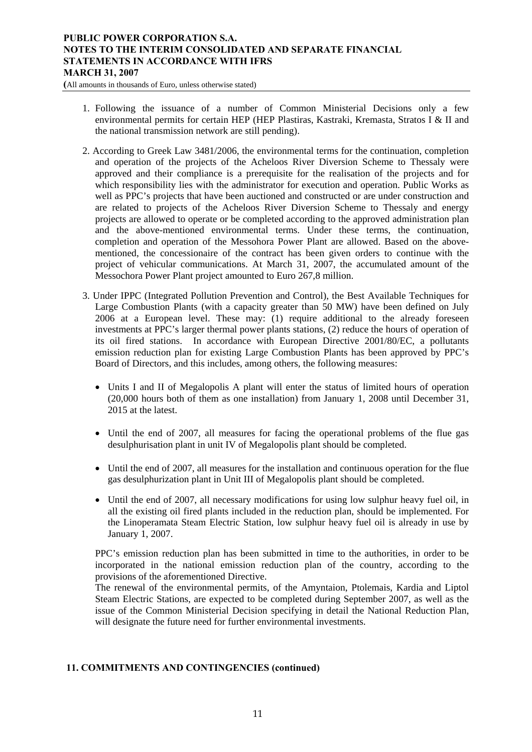**(**All amounts in thousands of Euro, unless otherwise stated)

- 1. Following the issuance of a number of Common Ministerial Decisions only a few environmental permits for certain HEP (HEP Plastiras, Kastraki, Kremasta, Stratos I & II and the national transmission network are still pending).
- 2. According to Greek Law 3481/2006, the environmental terms for the continuation, completion and operation of the projects of the Acheloos River Diversion Scheme to Thessaly were approved and their compliance is a prerequisite for the realisation of the projects and for which responsibility lies with the administrator for execution and operation. Public Works as well as PPC's projects that have been auctioned and constructed or are under construction and are related to projects of the Acheloos River Diversion Scheme to Thessaly and energy projects are allowed to operate or be completed according to the approved administration plan and the above-mentioned environmental terms. Under these terms, the continuation, completion and operation of the Messohora Power Plant are allowed. Based on the abovementioned, the concessionaire of the contract has been given orders to continue with the project of vehicular communications. At March 31, 2007, the accumulated amount of the Messochora Power Plant project amounted to Euro 267,8 million.
- 3. Under IPPC (Integrated Pollution Prevention and Control), the Best Available Techniques for Large Combustion Plants (with a capacity greater than 50 MW) have been defined on July 2006 at a European level. These may: (1) require additional to the already foreseen investments at PPC's larger thermal power plants stations, (2) reduce the hours of operation of its oil fired stations. In accordance with European Directive 2001/80/EC, a pollutants emission reduction plan for existing Large Combustion Plants has been approved by PPC's Board of Directors, and this includes, among others, the following measures:
	- Units I and II of Megalopolis A plant will enter the status of limited hours of operation (20,000 hours both of them as one installation) from January 1, 2008 until December 31, 2015 at the latest.
	- Until the end of 2007, all measures for facing the operational problems of the flue gas desulphurisation plant in unit IV of Megalopolis plant should be completed.
	- Until the end of 2007, all measures for the installation and continuous operation for the flue gas desulphurization plant in Unit III of Megalopolis plant should be completed.
	- Until the end of 2007, all necessary modifications for using low sulphur heavy fuel oil, in all the existing oil fired plants included in the reduction plan, should be implemented. For the Linoperamata Steam Electric Station, low sulphur heavy fuel oil is already in use by January 1, 2007.

PPC's emission reduction plan has been submitted in time to the authorities, in order to be incorporated in the national emission reduction plan of the country, according to the provisions of the aforementioned Directive.

The renewal of the environmental permits, of the Amyntaion, Ptolemais, Kardia and Liptol Steam Electric Stations, are expected to be completed during September 2007, as well as the issue of the Common Ministerial Decision specifying in detail the National Reduction Plan, will designate the future need for further environmental investments.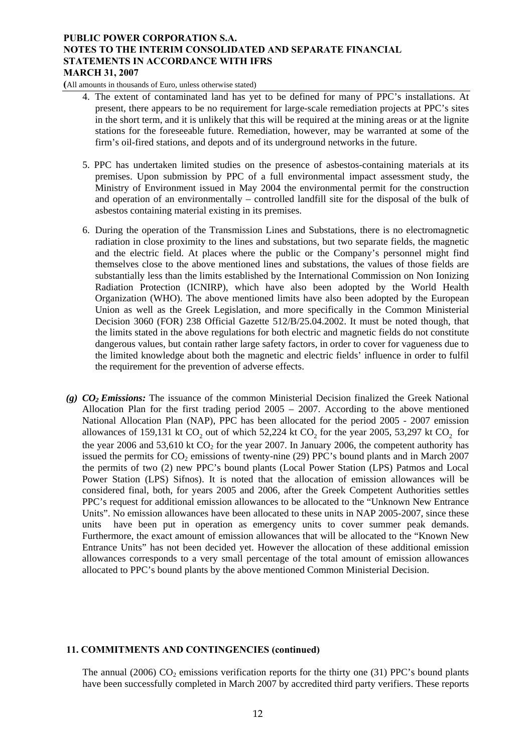**(**All amounts in thousands of Euro, unless otherwise stated)

- 4. The extent of contaminated land has yet to be defined for many of PPC's installations. At present, there appears to be no requirement for large-scale remediation projects at PPC's sites in the short term, and it is unlikely that this will be required at the mining areas or at the lignite stations for the foreseeable future. Remediation, however, may be warranted at some of the firm's oil-fired stations, and depots and of its underground networks in the future.
- 5. PPC has undertaken limited studies on the presence of asbestos-containing materials at its premises. Upon submission by PPC of a full environmental impact assessment study, the Ministry of Environment issued in May 2004 the environmental permit for the construction and operation of an environmentally – controlled landfill site for the disposal of the bulk of asbestos containing material existing in its premises.
- 6. During the operation of the Transmission Lines and Substations, there is no electromagnetic radiation in close proximity to the lines and substations, but two separate fields, the magnetic and the electric field. At places where the public or the Company's personnel might find themselves close to the above mentioned lines and substations, the values of those fields are substantially less than the limits established by the International Commission on Non Ionizing Radiation Protection (ICNIRP), which have also been adopted by the World Health Organization (WHO). The above mentioned limits have also been adopted by the European Union as well as the Greek Legislation, and more specifically in the Common Ministerial Decision 3060 (FOR) 238 Official Gazette 512/B/25.04.2002. It must be noted though, that the limits stated in the above regulations for both electric and magnetic fields do not constitute dangerous values, but contain rather large safety factors, in order to cover for vagueness due to the limited knowledge about both the magnetic and electric fields' influence in order to fulfil the requirement for the prevention of adverse effects.
- $(g)$  *CO<sub>2</sub> Emissions:* The issuance of the common Ministerial Decision finalized the Greek National Allocation Plan for the first trading period 2005 – 2007. According to the above mentioned National Allocation Plan (NAP), PPC has been allocated for the period 2005 - 2007 emission allowances of 159,131 kt  $CO<sub>2</sub>$  out of which 52,224 kt  $CO<sub>2</sub>$  for the year 2005, 53,297 kt  $CO<sub>2</sub>$  for the year 2006 and 53,610 kt  $CO<sub>2</sub>$  for the year 2007. In January 2006, the competent authority has issued the permits for  $CO<sub>2</sub>$  emissions of twenty-nine (29) PPC's bound plants and in March 2007 the permits of two (2) new PPC's bound plants (Local Power Station (LPS) Patmos and Local Power Station (LPS) Sifnos). It is noted that the allocation of emission allowances will be considered final, both, for years 2005 and 2006, after the Greek Competent Authorities settles PPC's request for additional emission allowances to be allocated to the "Unknown New Entrance Units". No emission allowances have been allocated to these units in NAP 2005-2007, since these units have been put in operation as emergency units to cover summer peak demands. Furthermore, the exact amount of emission allowances that will be allocated to the "Known New Entrance Units" has not been decided yet. However the allocation of these additional emission allowances corresponds to a very small percentage of the total amount of emission allowances allocated to PPC's bound plants by the above mentioned Common Ministerial Decision.

#### **11. COMMITMENTS AND CONTINGENCIES (continued)**

The annual (2006)  $CO_2$  emissions verification reports for the thirty one (31) PPC's bound plants have been successfully completed in March 2007 by accredited third party verifiers. These reports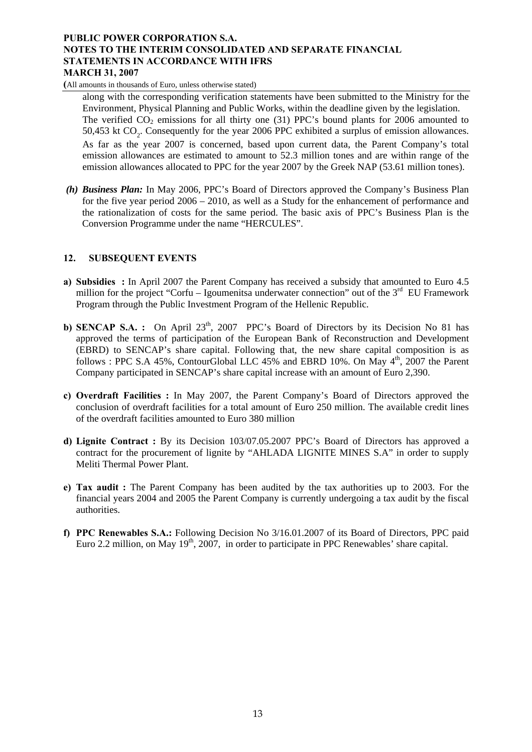<span id="page-19-0"></span>**(**All amounts in thousands of Euro, unless otherwise stated)

along with the corresponding verification statements have been submitted to the Ministry for the Environment, Physical Planning and Public Works, within the deadline given by the legislation. The verified  $CO_2$  emissions for all thirty one (31) PPC's bound plants for 2006 amounted to 50,453 kt CO<sub>2</sub>. Consequently for the year 2006 PPC exhibited a surplus of emission allowances. As far as the year 2007 is concerned, based upon current data, the Parent Company's total emission allowances are estimated to amount to 52.3 million tones and are within range of the emission allowances allocated to PPC for the year 2007 by the Greek NAP (53.61 million tones).

*(h) Business Plan:* In May 2006, PPC's Board of Directors approved the Company's Business Plan for the five year period 2006 – 2010, as well as a Study for the enhancement of performance and the rationalization of costs for the same period. The basic axis of PPC's Business Plan is the Conversion Programme under the name "HERCULES".

## **12. SUBSEQUENT EVENTS**

- **a) Subsidies :** In April 2007 the Parent Company has received a subsidy that amounted to Euro 4.5 million for the project "Corfu – Igoumenitsa underwater connection" out of the  $3<sup>rd</sup>$  EU Framework Program through the Public Investment Program of the Hellenic Republic.
- **b) SENCAP S.A. :** On April 23<sup>th</sup>, 2007 PPC's Board of Directors by its Decision No 81 has approved the terms of participation of the European Bank of Reconstruction and Development (EBRD) to SENCAP's share capital. Following that, the new share capital composition is as follows : PPC S.A 45%, ContourGlobal LLC 45% and EBRD 10%. On May  $4<sup>th</sup>$ , 2007 the Parent Company participated in SENCAP's share capital increase with an amount of Euro 2,390.
- **c) Overdraft Facilities :** In May 2007, the Parent Company's Board of Directors approved the conclusion of overdraft facilities for a total amount of Euro 250 million. The available credit lines of the overdraft facilities amounted to Euro 380 million
- **d) Lignite Contract :** By its Decision 103/07.05.2007 PPC's Board of Directors has approved a contract for the procurement of lignite by "AHLADA LIGNITE MINES S.A" in order to supply Meliti Thermal Power Plant.
- **e) Tax audit :** The Parent Company has been audited by the tax authorities up to 2003. For the financial years 2004 and 2005 the Parent Company is currently undergoing a tax audit by the fiscal authorities.
- **f) PPC Renewables S.A.:** Following Decision No 3/16.01.2007 of its Board of Directors, PPC paid Euro 2.2 million, on May  $19<sup>th</sup>$ , 2007, in order to participate in PPC Renewables' share capital.